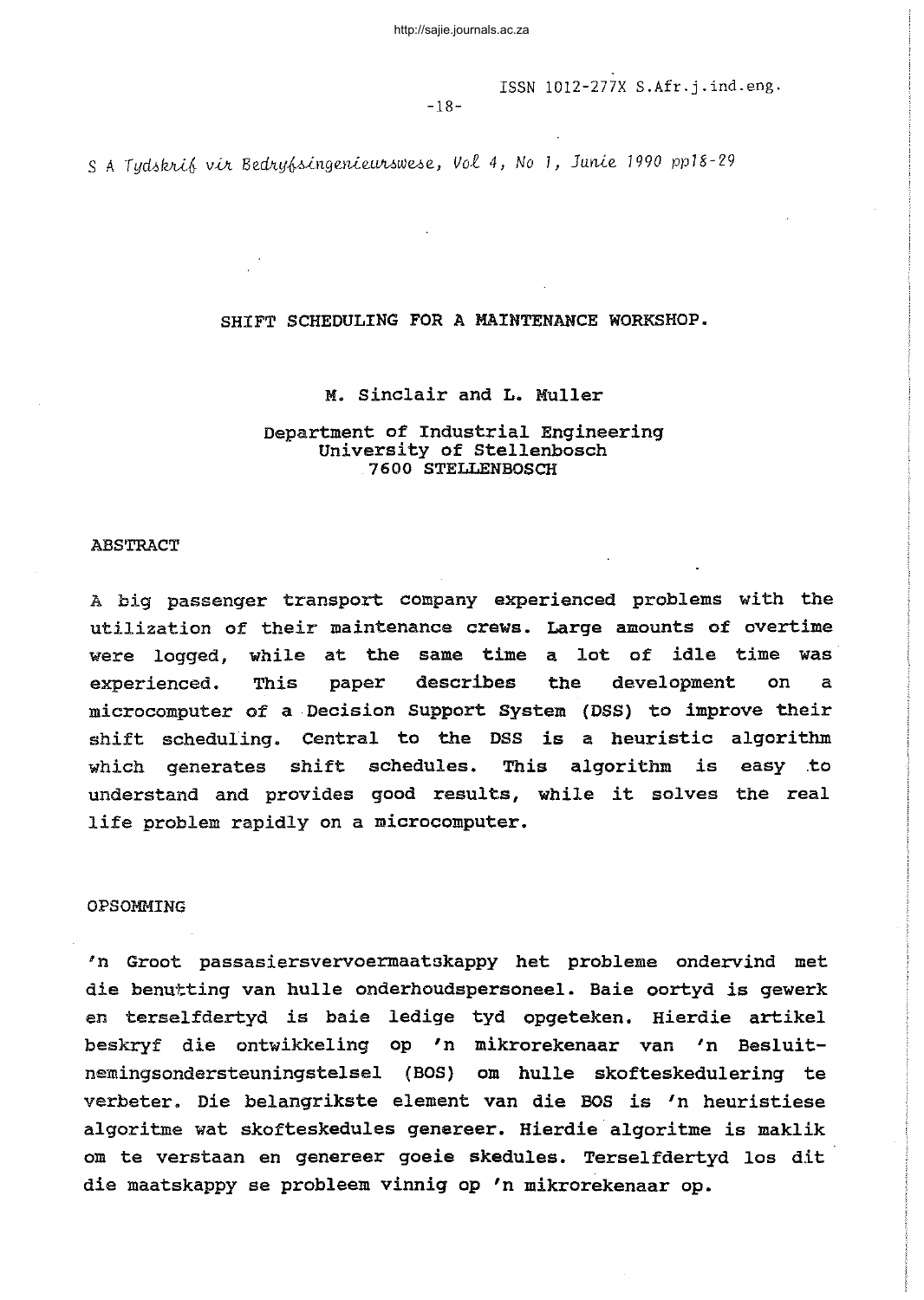ISSN 1012-277X S.Afr.j.ind.eng.

-18-

S A Tydskrif vir Bedryfsingenieurswese, Vol 4, No 1, Junie 1990 pp18-29

### SHIFT SCHEDULING FOR A MAINTENANCE WORKSHOP.

#### M. Sinclair and L. Muller

### Department of Industrial Engineering University of Stellenbosch 7600 STELLENBOSCH

#### ABSTRACT

<sup>A</sup> big passenger transport company experienced problems with the utilization of their maintenance crews. Large amounts of overtime were logged, while at the same time <sup>a</sup> lot of idle time was experienced. This paper describes the development on a microcomputer of <sup>a</sup> Decision Support System (DSS) to improve their shift scheduling. Central to the DSS is <sup>a</sup> heuristic algorithm which generates shift schedules. This algorithm is easy .to understand and provides good results, while it solves the real life problem rapidly on <sup>a</sup> microcomputer.

#### OPSOMMING

'n Groot passasiersvervoermaatokappy het probleme ondervind met die benutting van hulle onderhoudspersoneel. Baie oortyd is gewerk en terselfdertyd is baie ledige tyd opgeteken. Hierdie artikel beskryf die ontwikkeling op 'n mikrorekenaar van 'n Besluitnemingsondersteuningstelsel (BOS) om hulle skofteskedulering te verbeter. *Die* belangrikste element van die BOS *is* 'n heuristiese algoritme wat skofteskedules genereer. Hierdie algoritme *is* maklik om te verstaan en genereer goeie skedules. Terselfdertyd los dit die maatskappy se probleem vinnig op 'n mikrorekenaar op.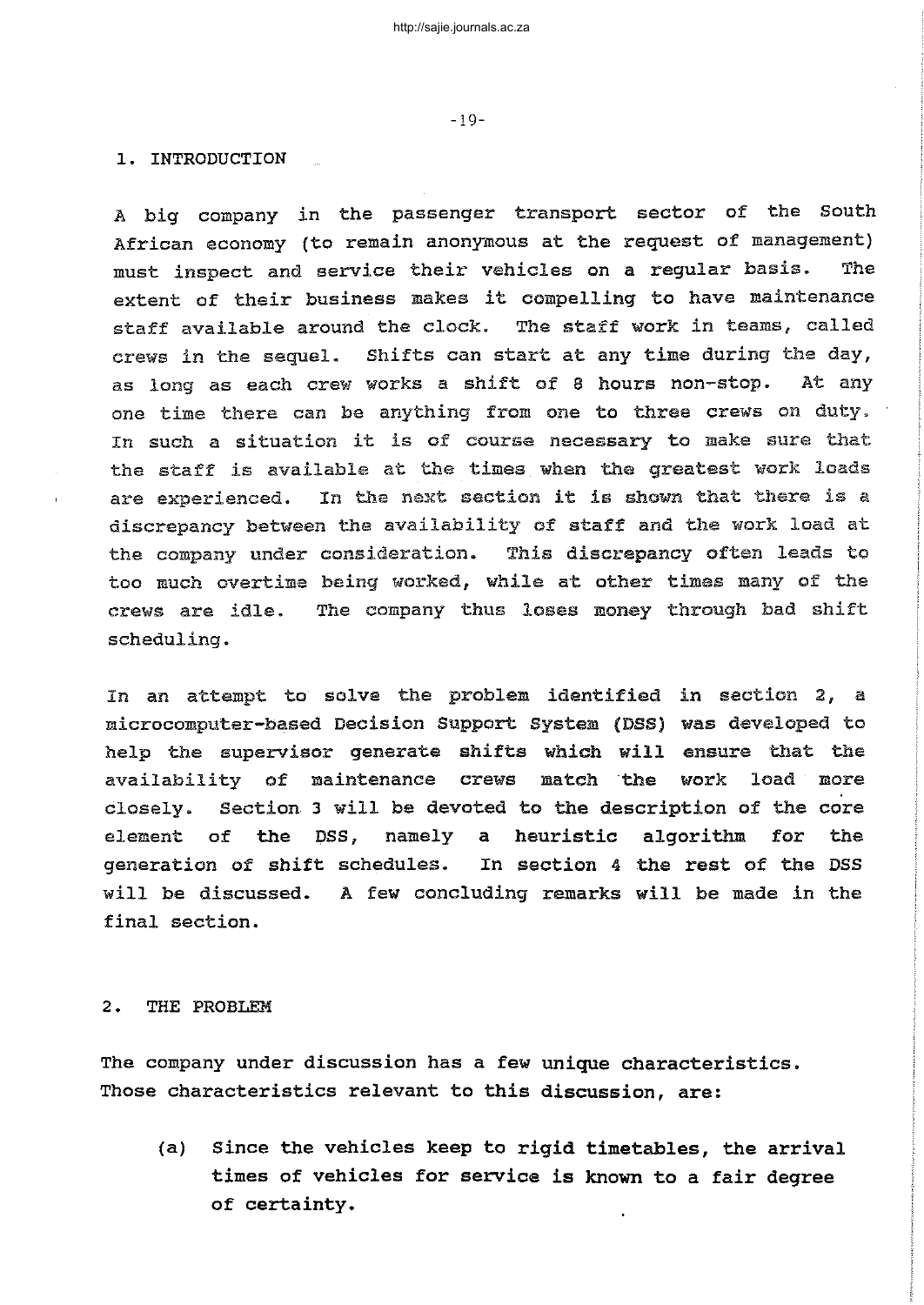1. INTRODUCTION

A big company in the passenger transport sector of the South African economy (to remain anonymous at the request of management) must inspect and service their vehicles on <sup>a</sup> regular basis. The extent of their business makes it compelling to have maintenance staff available around the clock. The staff work in teams, called crews in the sequel. Shifts can start at any time during the day, as long as each crew works <sup>a</sup> shift of <sup>8</sup> hours non-stop. At any one time there can be anything from one to three crews on duty. In such <sup>a</sup> situation it is of course necessary to make sure that the staff is available at the times when the greatest work loads are experienced. In the next section it is shown that there is <sup>a</sup> discrepancy between the availability of staff and the work load at the company under consideration. This discrepancy often leads to too much overtime being worked, while at other times many of the crews are idle. The company thus loses money through bad shift scheduling.

In an attempt to solva the problem identified in section 2, a microcomputer-based Decision Support System (DBS) was developed to help the supervisor generate shifts which will ensure that the availability of maintenance crews match the work load more closely. section 3 will be devoted to the description of the core element of the DSS, namely a heuristic algorithm for the generation of shift schedules. In section <sup>4</sup> the rest of the DSS will be discussed. A few concluding remarks will be made in the final section.

#### 2. THE PROBLEM

The company under discussion has a few unique characteristics. Those characteristics relevant to this discussion, are:

(a) Since the vehicles keep to rigid timetables, the arrival times of vehicles for service is known to <sup>a</sup> fair degree of certainty.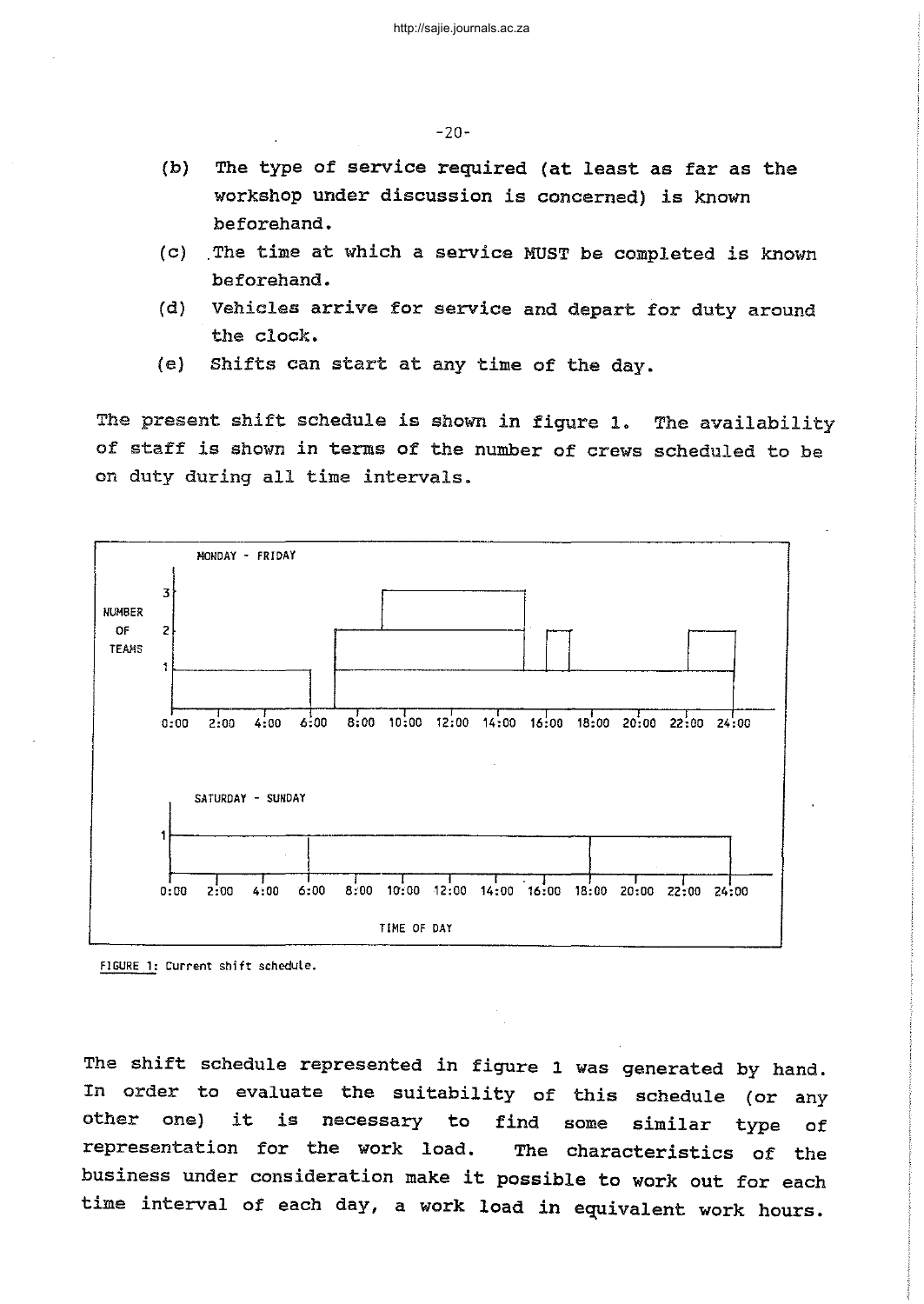-20-

- (b) The type of service required (at least as far as the workshop under discussion is concerned) is known beforehand.
- (c) The time at which <sup>a</sup> service MUST be completed is known beforehand.
- (d) Vehicles arrive for service and depart for duty around the clock.
- (e) Shifts can start at any time of the day.

The present shift schedule is shown in figure 1. of staff is shown in terms of the number of crews scheduled to be on duty during all time intervals. The availability





The shift schedule represented in figure <sup>1</sup> was generated by hand. In order to evaluate the suitability of this schedule (or any other one) it is necessary to find some similar type of representation for the work load. The characteristics of the business under consideration make it possible to work out for each time interval of each day, a work load in equivalent work hours.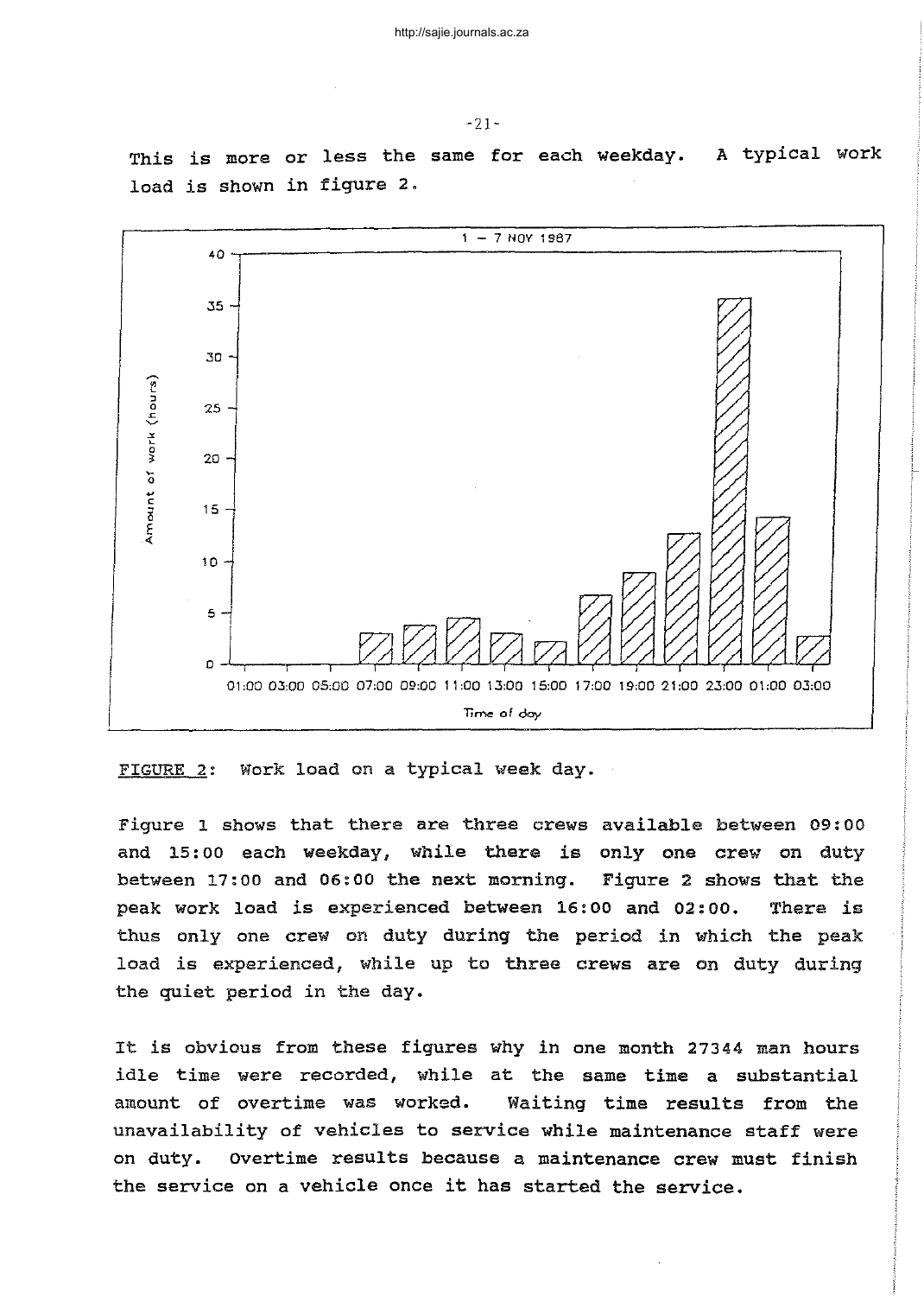

This is more or less the same for each weekday. A typical work



30

 $25 -$ 

20

15

10

5

 $\Omega$ 

.<br>כ

'" L 0

 $\epsilon$ 0

E <:

Figure 1 shows that there are three crews available between 09:00 and 15: <sup>00</sup> each weekday, while there is only one crew on duty between 17:00 and 06:00 the next morning. Figure 2 shows that the peak work load is experienced between 16: <sup>00</sup> and 02: 00. There is thus only one crew on duty during the period in Which the peak load is experienced, while up to three crews are on duty during the quiet period in the day.

**Time** of day

01:00 03:00 05:00 07:00 09:00 11:00 13:00 15:00 17:00 19:00 21:00 23:00 01:00 03:00

It is obvious from these figures why in one month <sup>27344</sup> man hours idle time were recorded, while at the same time <sup>a</sup> substantial amount of overtime was worked. Waiting time results from the unavailability of vehicles to service while maintenance staff were on duty. overtime results because a maintenance crew must finish the service on <sup>a</sup> vehicle once it has started the service.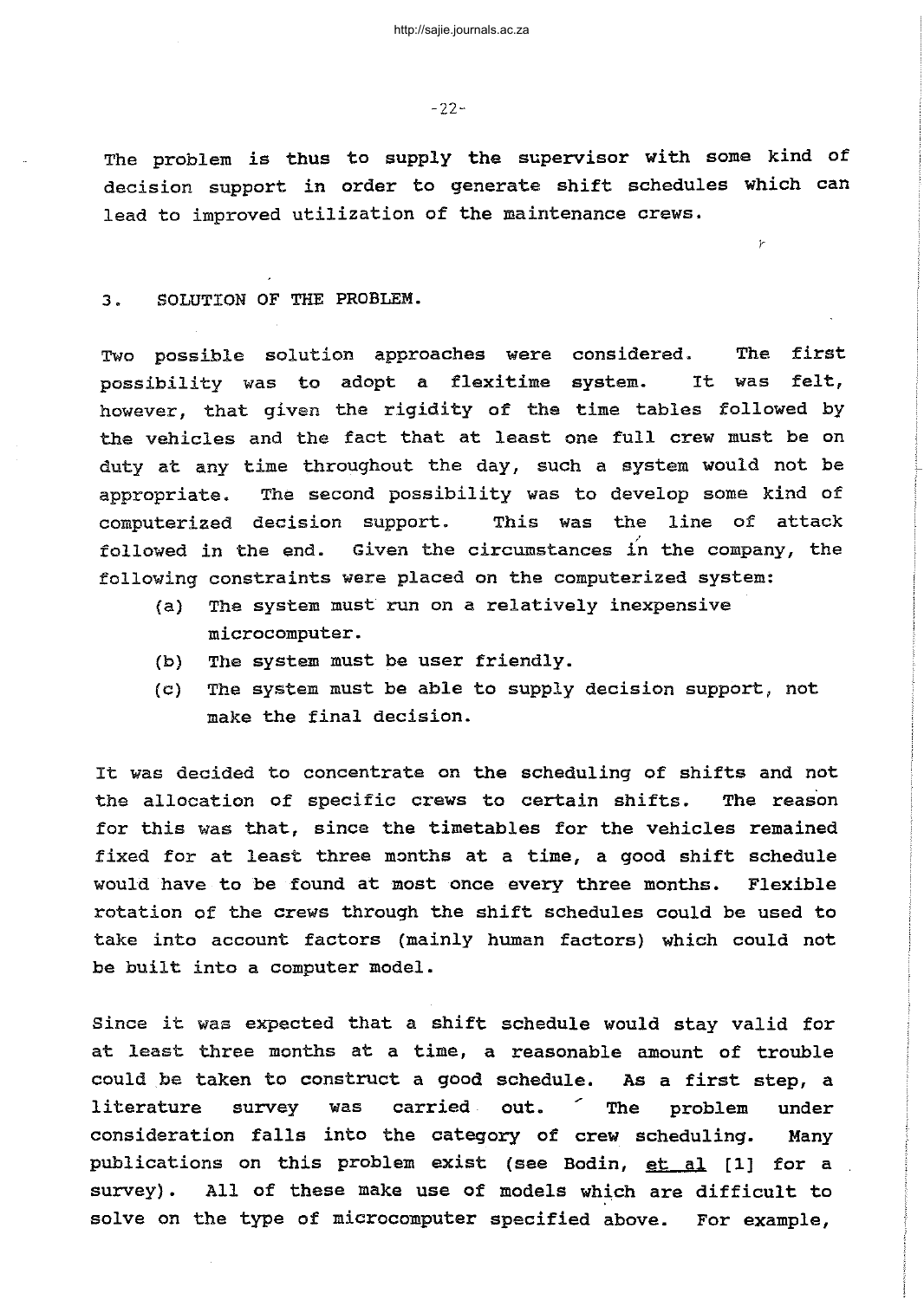-22-

The problem is thus to supply the supervisor with some kind of decision support in order to generate shift schedules which can lead to improved utilization of the maintenance crews.

r

3. SOLUTION OF THE PROBLEM.

Two possible solution approaches were considered. The first possibility was to adopt <sup>a</sup> flexitime system. It was felt, however, that given the rigidity of the time tables followed by the vehicles and the fact that at least one full crew must be on duty at any time throughout the day, such <sup>a</sup> system would not be appropriate. The second possibility was to develop some kind of computerized decision support. This was the line of attack followed in the end. Given the circumstances in the company, the following constraints were placed on the computerized system:

- (a) The system must run on a relatively inexpensive microcomputer.
- (b) The system must be user friendly.
- (c) The system must be able to supply decision support, not make the final decision.

It was decided to concentrate on the scheduling of shifts and not the allocation of specific crews to certain shifts. The reason for this was that, since the timetables for the vehicles remained fixed for at least three months at a time, a good shift schedule would have to be found at most once every three months. Flexible rotation of the crews through the shift schedules could be used to take into account factors (mainly human factors) which could not be built into <sup>a</sup> computer model.

since it was expected that <sup>a</sup> shift schedule would stay valid for at least three months at a time, a reasonable amount of trouble could be taken to construct <sup>a</sup> good schedule. As <sup>a</sup> first step, <sup>a</sup> literature survey was carried out. The problem under consideration falls into the category of crew scheduling. Many publications on this problem exist (see Bodin, et al [1] for a survey). All of these make use of models which are difficult to solve on the type of microcomputer specified above. For example,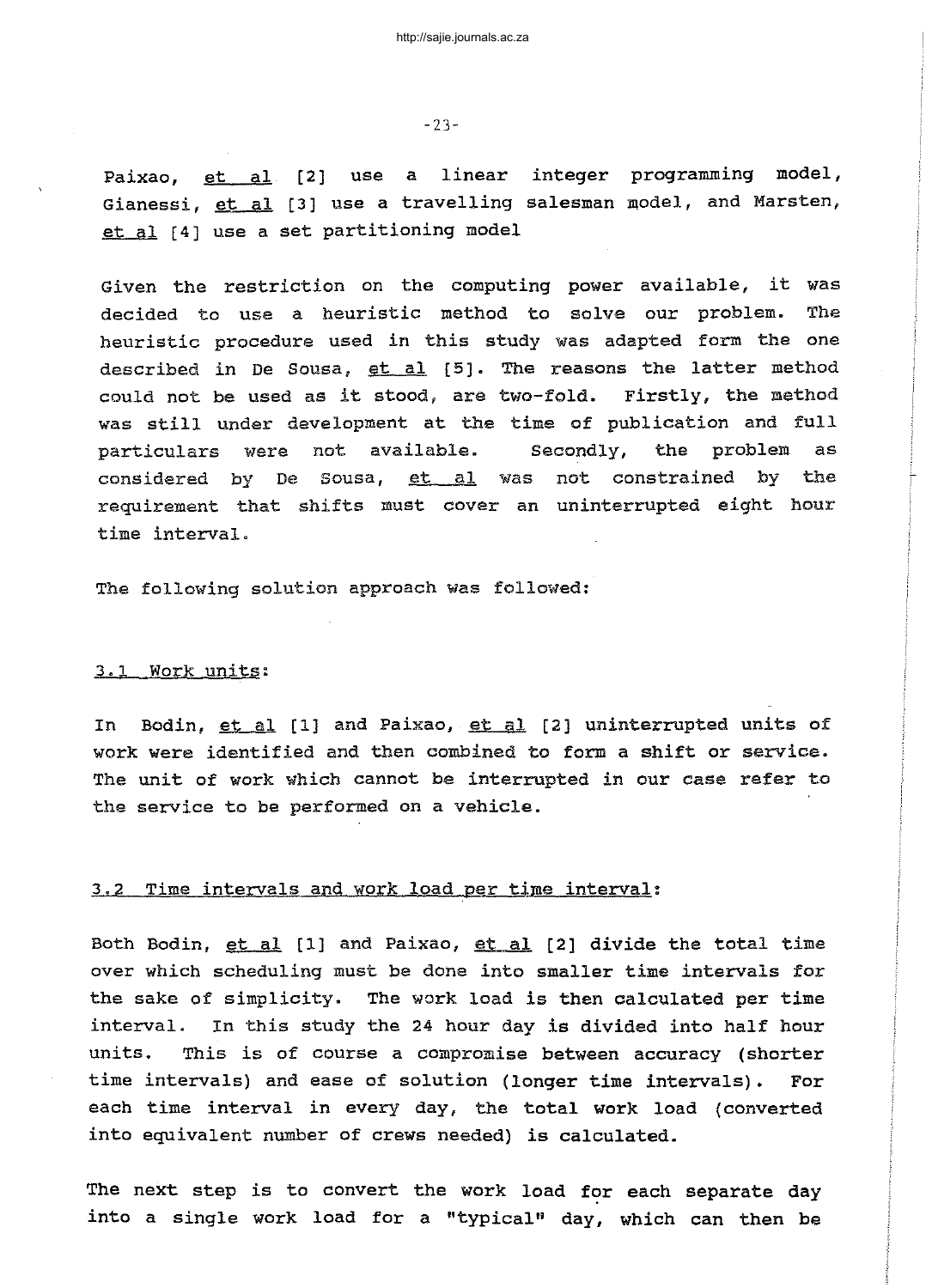-23-

Paixao, <u>et al</u> [2] use a linear integer programming model, Gianessi, <u>et al</u> [3] use a travelling salesman model, and Marsten, et al [4] use a set partitioning model

Given the restriction on the computing power available, it was decided to use a heuristic method to solve our problem. The heuristic procedure used in this study was adapted form the one described in De Sousa, et al [5]. The reasons the latter method could not be used as it stood, are two-fold. Firstly, the method was still under development at the time of publication and full particulars were not available. Secondly, the problem as considered by De Sousa, et al was not constrained by the requirement that shifts must cover an uninterrupted eight hour time interval.

The following solution approach was followed:

# 3.1 Work units:

In Bodin, et al [1] and Paixao, et al [2] uninterrupted units of work were identified and then combined to form <sup>a</sup> shift or service. The unit of work Which cannot be interrupted in our case refer to the service to be performed on a vehicle.

### 3.2 Time intervals and work load per time interval:

Both Bodin, et al [1] and Paixao, et al [2] divide the total time over which scheduling must be done into smaller time intervals for the sake of simplicity. The work load is then calculated per time interval. In this study the <sup>24</sup> hour day is divided into half hour units. This is of course <sup>a</sup> compromise between accuracy (shorter time intervals) and ease of solution (longer time intervals). For each time interval in every day, the total work load (converted into equivalent number of crews needed) is calculated.

The next step is to convert the work load for each separate day into a single work load for a "typical" day, which can then be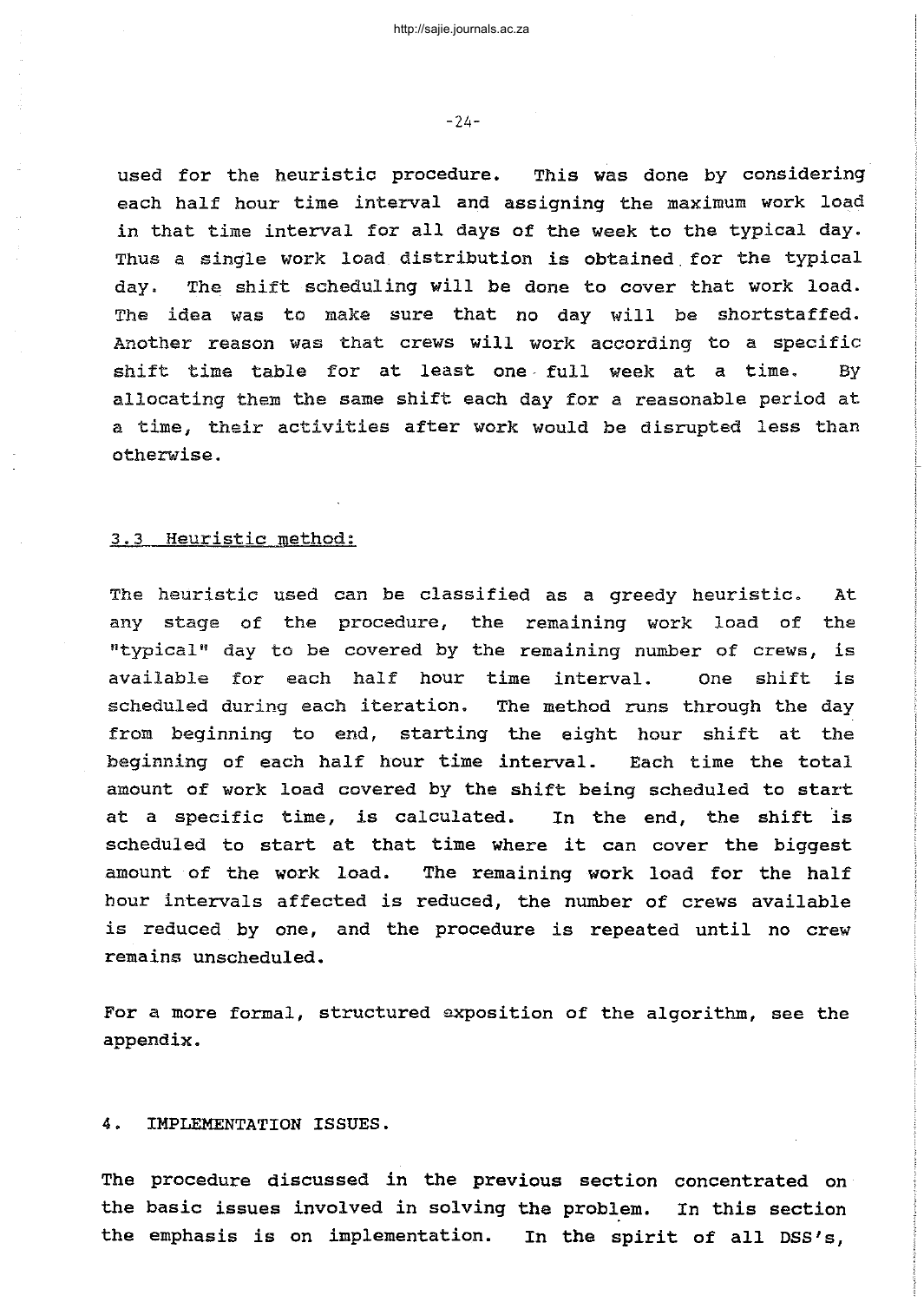used for the heuristic procedure. This was done by considering each half hour time interval and assigning the maximum work load in that time interval for all days of the week to the typical day. Thus <sup>a</sup> single work load distribution is obtained. for the typical day. The shift scheduling will be done to cover that work load. The idea was to make sure that no day will be shortstaffed. Another reason was that crews will work according to <sup>a</sup> specific shift time table for at least one· full week at <sup>a</sup> time. By allocating them the same shift each day for <sup>a</sup> reasonable period at <sup>a</sup> time, their activities after work would be disrupted less than otherwise.

#### 3.3 Heuristic method:

The heuristic used can be classified as <sup>a</sup> greedy heuristic. At any stage of the procedure, the remaining work load of the "typical" day to be covered by the remaining number of crews, is available for each half hour time interval. One shift is scheduled during each iteration. The method runs through the day from beginning to end, starting the eight hour shift at the beginning of each half hour time interval. Each time the total amount of work load covered by the shift being scheduled to start at <sup>a</sup> specific time, is calculated. In the end, the shift 'is scheduled to start at that time where it can cover the biggest amount of the work load. The remaining work load for the half hour intervals affected is reduced, the number of crews available is reduced by one, and the procedure is repeated until no crew remains unscheduled.

For a more formal, structured exposition of the algorithm, see the appendix.

#### 4. IMPLEMENTATION ISSUES.

The procedure discussed in the previous section concentrated on the basic issues involved in solving the problem. In this section **the** emphasis is on implementation. In **the** spirit of all DSS's,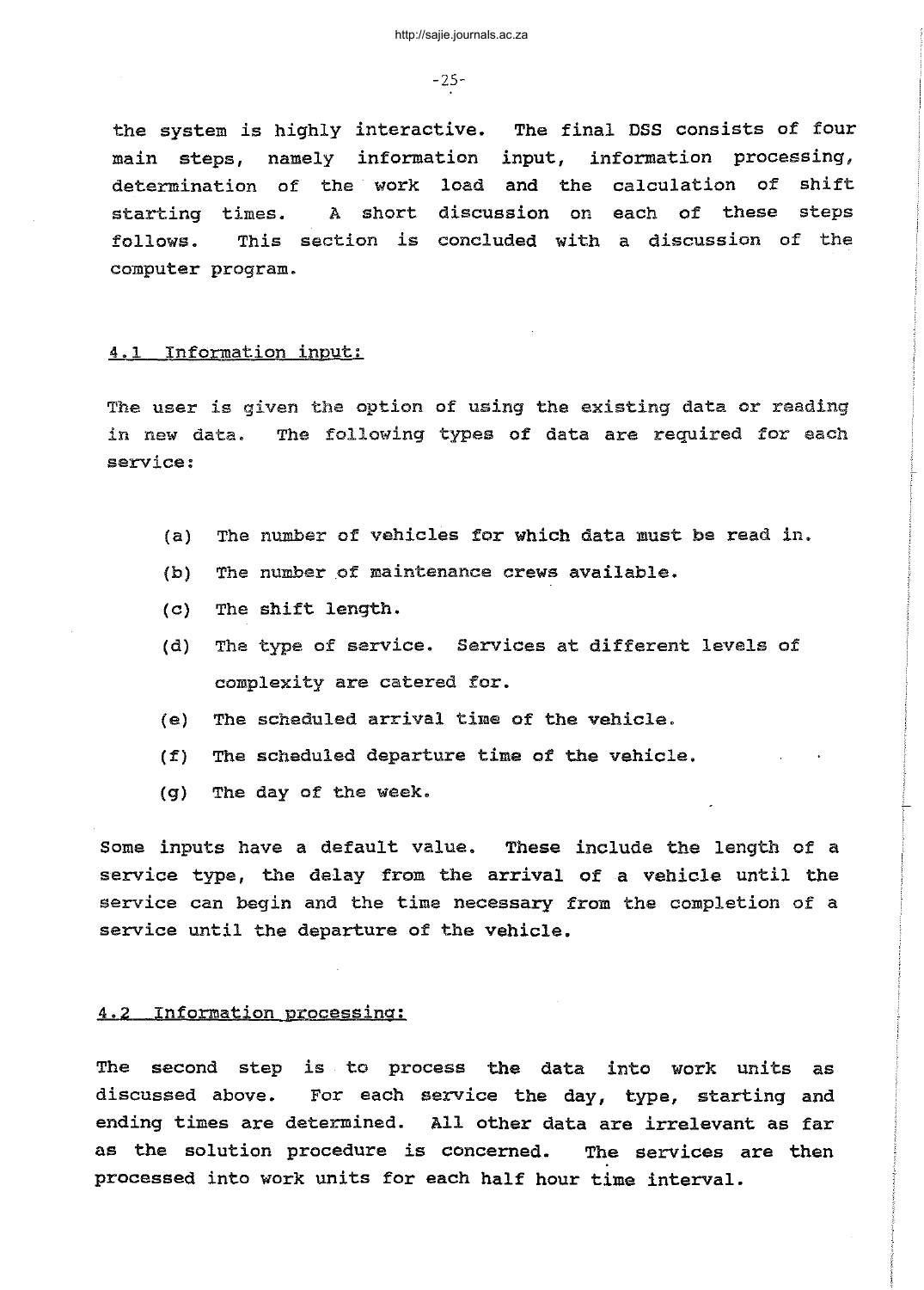-25-

the system is highly interactive. The final DSS consists of four main steps, namely information input, information processing, determination of the work load and the calculation of shift starting times. A short discussion on each of these steps follows. This section is concluded with <sup>a</sup> discussion of the computer program.

#### 4.1 InfOrmation input:

The user is given the option of using the existing data or reading in new data. The following types of data are required for each service:

- (a) The number of vehicles for Which data must be read in.
- $(b)$  The number of maintenance crews available.
- (c) The shift length.
- (d) The type of service. Services at different levels of complexity are catered for.
- (e) The scheduled arrival time of the vehicle.
- (f) The scheduled departure time of the vehicle.
- (g) The day of the week.

Some inputs have a default value. These include the length of a service type, the delay from the arrival of a vehicle until the service can begin and the time necessary from the completion of a service until the departure of the vehicle.

### 4.2 Information processing:

The second step is to process the data into work units as discussed above. For each service the day, type, starting and ending times are determined. All other data are irrelevant as far as the solution procedure is concerned. The services are then processed into work units for each half hour time interval.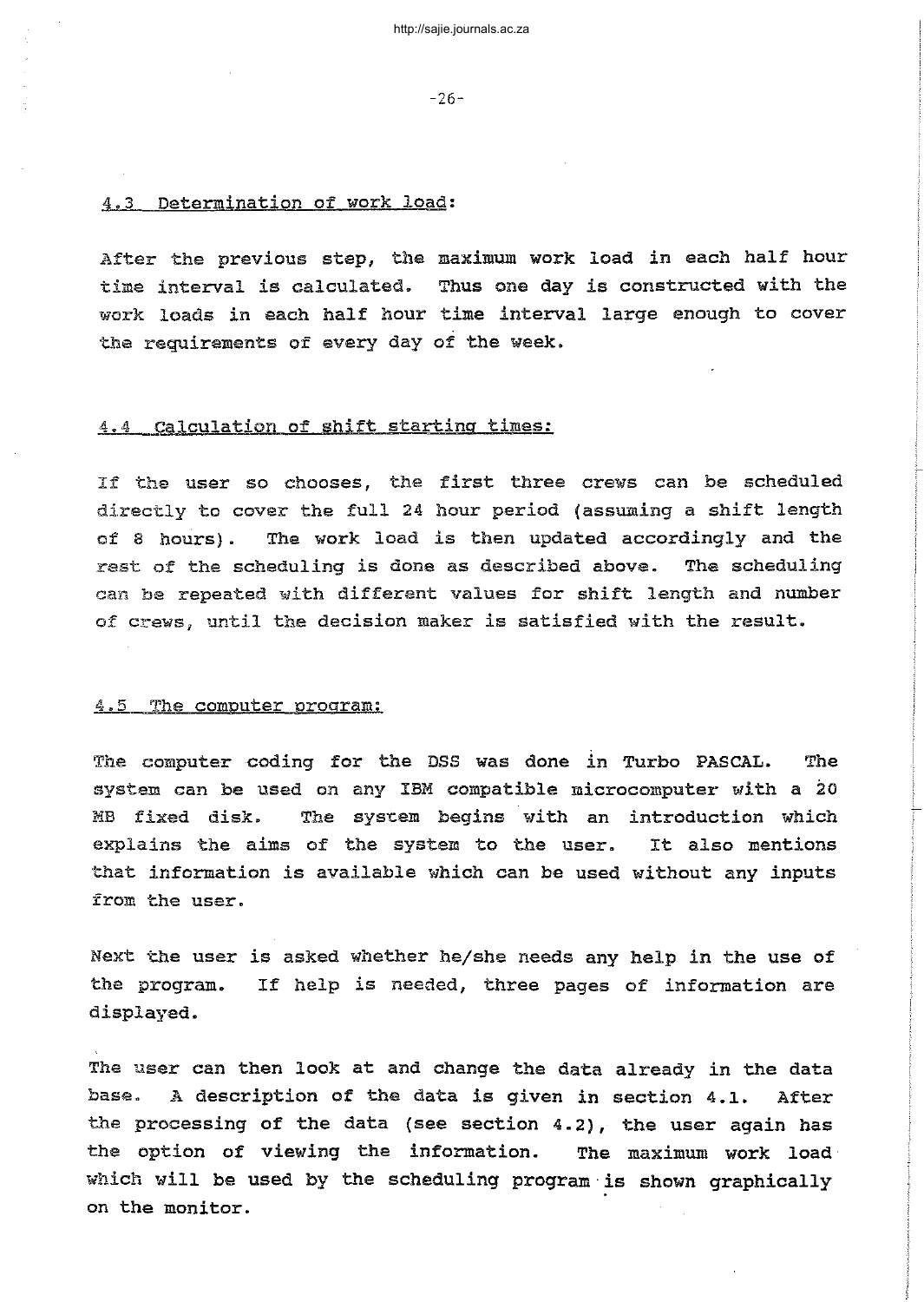-26-

### 4.3 Determination of work load:

After the previous step, the maximum work load in each half hour time interval is calculated. Thus one day is constructed with the work loads in each half hour time interval large enough to cover the requirements of every day of the week.

## 4.4 Calculation of shift starting times:

If the user so chooses, the first three crews can be scheduled directly to cover the full <sup>24</sup> hour period (assuming <sup>a</sup> shift length of <sup>8</sup> hours). The work load is then updated accordingly and the rest of the scheduling is done as described above. The scheduling can be repeated with different values for shift length and number of crews, until the decision maker is satisfied with the result.

#### 4.5 The computer program:

The computer coding for the DSS was done in Turbo PASCAL. The system can be used on any IBM compatible microcomputer with a 20 MB fixed disk. The system begins with an introduction which explains the aims of the system to the user. It also mentions that information is available which can be used without any inputs from the user.

Next the user is asked whether he/she needs any help in the use of the program. displayed. If help is needed, three pages of information are

The user can then look at and change the data already in the data base. <sup>A</sup> description of the data is given in section 4.1. After the processing of the data (see section 4.2), the user again has the option of viewing the information. The maximum work load· which will be used by the scheduling program is shown graphically on the monitor.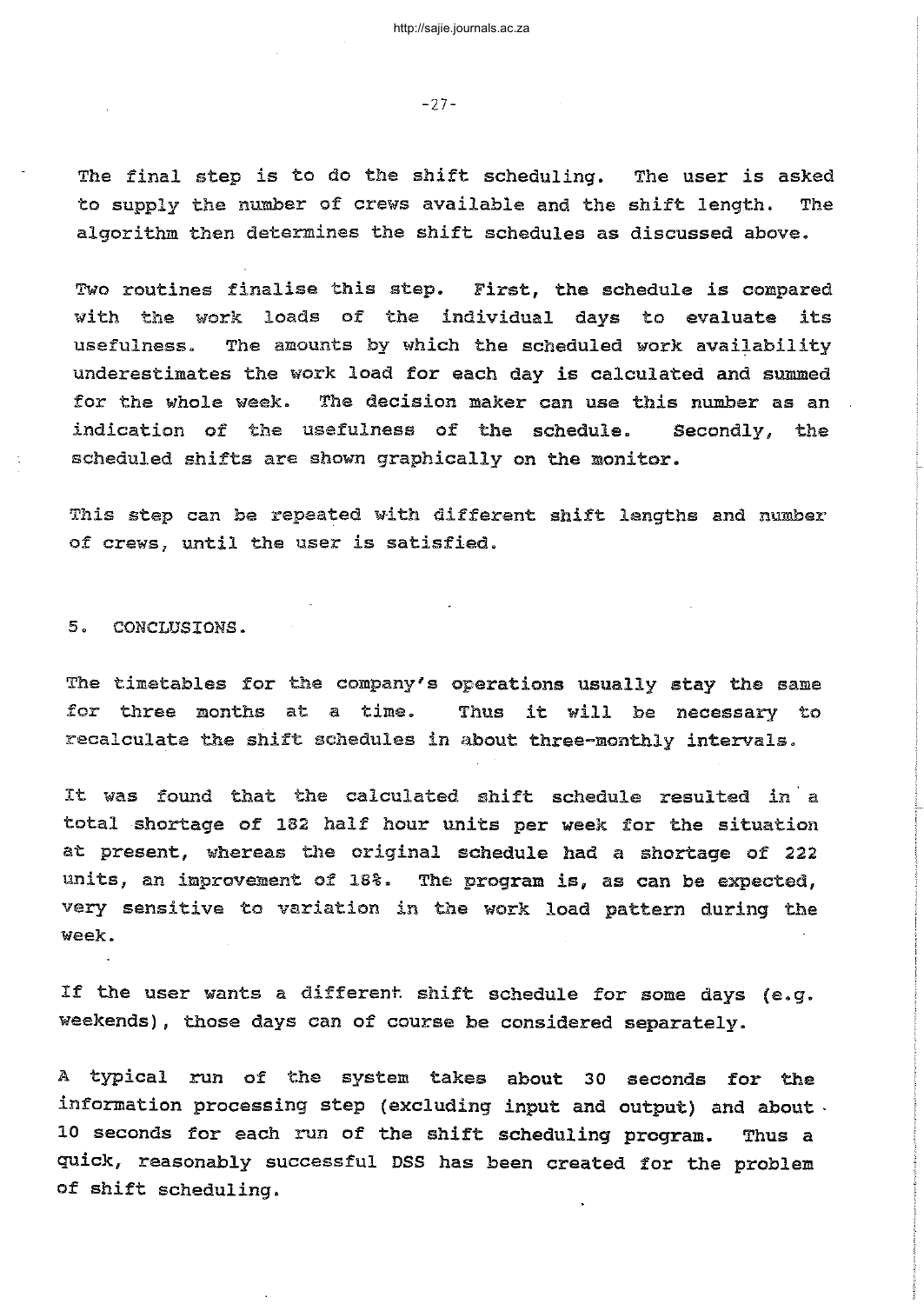-27-

The final step is to do the shift scheduling. The user is asked to supply the number of crews available and the shift length. The algorithm then determines the shift schedules as discussed above.

Two routines finalise this step. First, the schedule is compared with the work loads of the individual days to evaluate its usefulness. The amounts by which the scheduled work availability underestimates the work load for each day is calculated and summed for the whole week. The decision maker can use this number as an indication of the usefulness of the schedule. Secondly, the scheduled shifts are shown graphically on the monitor.

This step can be repeated with different shift lengths and number of crews, until the user is satisfied.

5. CONCLUSIONS.

The timetables for the company's operations usually stay the same for three months at <sup>a</sup> time. recalculate the shift schedules in about three-monthly intervals. Thus it will be necessary to

It was found that the calculated shift schedule resulted in <sup>a</sup> total shortage of 182 half hour units per week for the situation at present, whereas the original schedule had <sup>a</sup> shortage of <sup>222</sup> units, an improvement of 18%. The program is, as can be expected, very sensitive to variation in the work load pattern during the week.

If the user wants a different shift schedule for some days (e.g. weekends), those days can of course be considered separately.

A typical run of the system takes about 30 seconds for the information processing step (excluding input and output) and about  $\cdot$ 10 seconds for each run of the shift scheduling program. Thus a quick, reasonably successful DSS has been created for the problem of shift scheduling.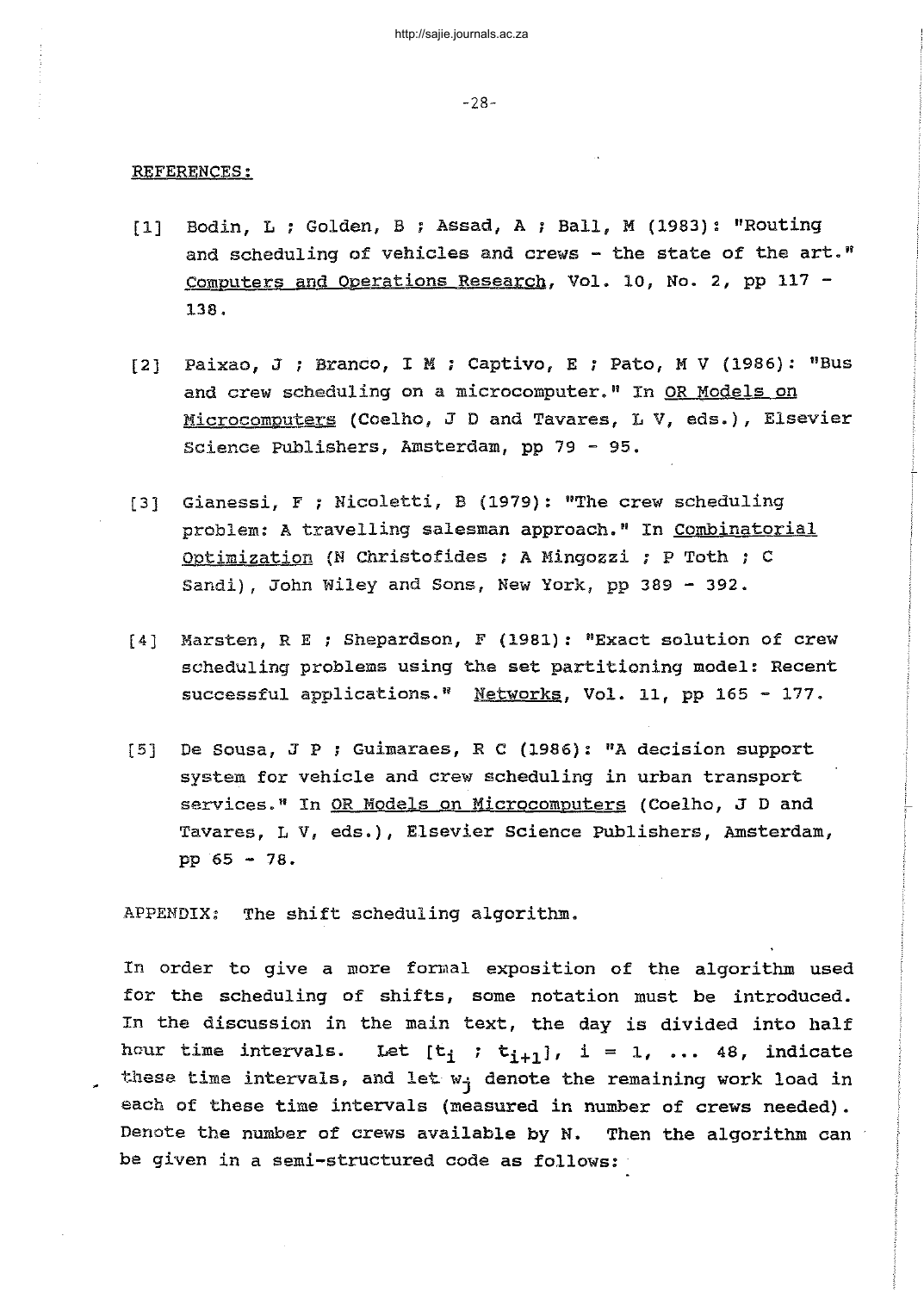#### REFERENCES:

- [1] Bodin, L ; Golden, B ; Assad, A ; Ball, M (1983): "Routing and scheduling of vehicles and crews - the state of the art." Computers and Operations Research, Vol. 10, No.2, pp 117 - 138.
- [2] Paixao, J ; Branco, I M ; Captivo, E ; Pato, M V (1986): "Bus and crew scheduling on a microcomputer." In OR Models on Microcomputers (Coelho, <sup>J</sup> D and Tavares, LV, eds.), Elsevier Science Publishers, Amsterdam, pp 79 - 95.
- [3] Gianessi, <sup>F</sup> ; Nicoletti, B (1979): "The crew scheduling problem: <sup>A</sup> travelling salesman approach." In Combinatorial Optimization (N Christofides ; A Mingozzi ; P Toth ; C Sandi), John Wiley and Sons, New York, pp 389 - 392.
- [4] Marsten, R <sup>E</sup> ; Shepardson, <sup>F</sup> (1981): "Exact solution of crew scheduling problems using the set partitioning model: Recent successful applications." Networks, Vol. 11, pp 165 - 177.
- [5] De Sousa, <sup>J</sup> <sup>P</sup> ; Guimaraes, R C (1986): "A decision support system for vehicle and crew scheduling in urban transport services." In OR Models on Microcomputers (Coelho, <sup>J</sup> D and Tavares, LV, eds.), Elsevier Science Publishers, Amsterdam, pp 65 - 78.

APPENDIX: The shift scheduling algorithm.

In order to give a more formal exposition of the algorithm used for the scheduling of shifts, some notation must be introduced. In the discussion in the main text, the day is divided into half hour time intervals. Let  $[t_i : t_{i+1}]$ ,  $i = 1, ... 48$ , indicate these time intervals, and let  $w_i$  denote the remaining work load in each of these time intervals (measured in number of crews needed). Denote the number of crews available by N. Then the algorithm can be given in a semi-structured code as follows: